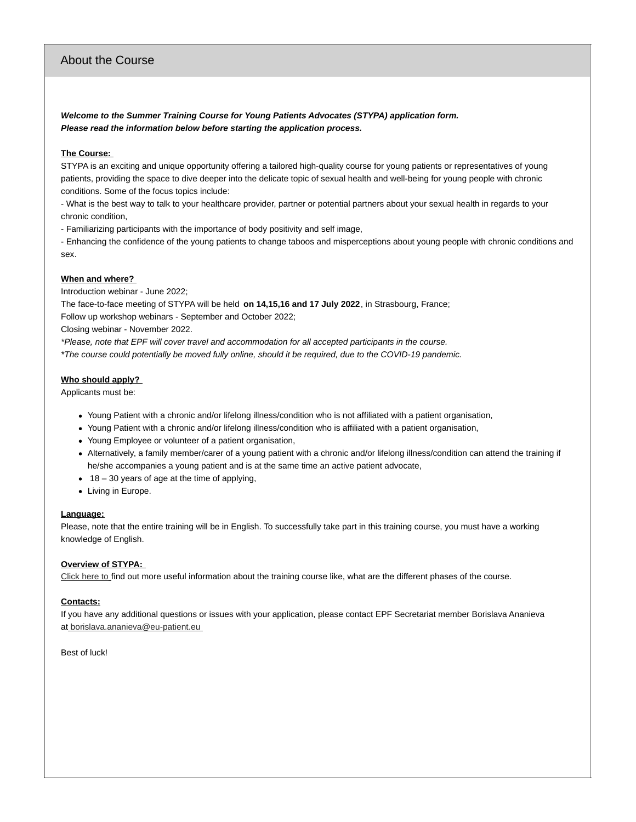### About the Course

*Welcome to the Summer Training Course for Young Patients Advocates (STYPA) application form. Please read the information below before starting the application process.*

#### **The Course:**

STYPA is an exciting and unique opportunity offering a tailored high-quality course for young patients or representatives of young patients, providing the space to dive deeper into the delicate topic of sexual health and well-being for young people with chronic conditions. Some of the focus topics include:

- What is the best way to talk to your healthcare provider, partner or potential partners about your sexual health in regards to your chronic condition,

- Familiarizing participants with the importance of body positivity and self image,

- Enhancing the confidence of the young patients to change taboos and misperceptions about young people with chronic conditions and sex.

#### **When and where?**

Introduction webinar - June 2022;

The face-to-face meeting of STYPA will be held **on 14,15,16 and 17 July 2022**, in Strasbourg, France;

Follow up workshop webinars - September and October 2022;

Closing webinar - November 2022.

*\*Please, note that EPF will cover travel and accommodation for all accepted participants in the course.*

*\*The course could potentially be moved fully online, should it be required, due to the COVID-19 pandemic.*

#### **Who should apply?**

Applicants must be:

- Young Patient with a chronic and/or lifelong illness/condition who is not affiliated with a patient organisation,
- Young Patient with a chronic and/or lifelong illness/condition who is affiliated with a patient organisation,
- Young Employee or volunteer of a patient organisation,
- Alternatively, a family member/carer of a young patient with a chronic and/or lifelong illness/condition can attend the training if he/she accompanies a young patient and is at the same time an active patient advocate,
- $\bullet$  18 30 years of age at the time of applying,
- Living in Europe.

#### **Language:**

Please, note that the entire training will be in English. To successfully take part in this training course, you must have a working knowledge of English.

#### **Overview of STYPA:**

[Click](https://www.eu-patient.eu/globalassets/uploads/stypa-2022.pdf) here to find out more useful information about the training course like, what are the different phases of the course.

#### **Contacts:**

If you have any additional questions or issues with your application, please contact EPF Secretariat member Borislava Ananieva at [borislava.ananieva@eu-patient.eu](mailto:borislava.ananieva@eu-patient.eu%C2%A0)

Best of luck!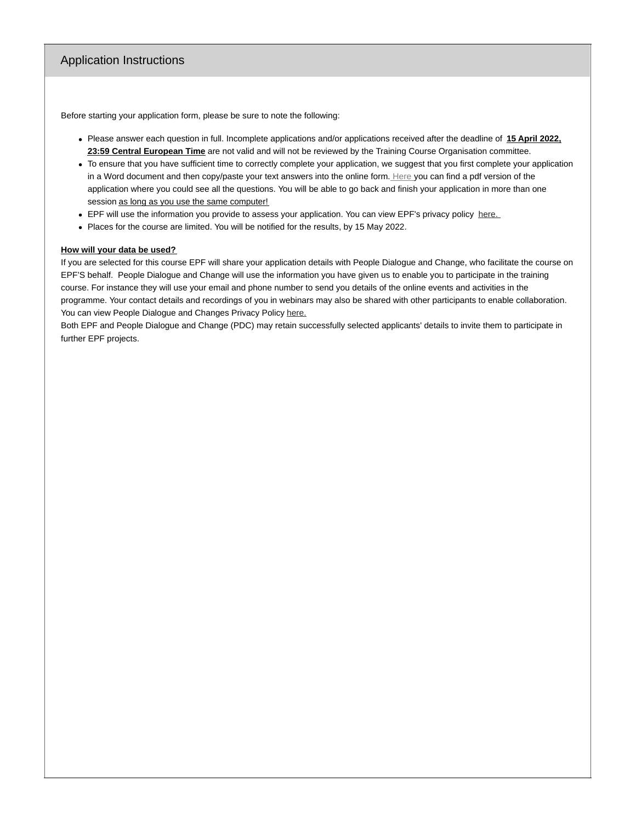### Application Instructions

Before starting your application form, please be sure to note the following:

- Please answer each question in full. Incomplete applications and/or applications received after the deadline of **15 April 2022, 23:59 Central European Time** are not valid and will not be reviewed by the Training Course Organisation committee.
- To ensure that you have sufficient time to correctly complete your application, we suggest that you first complete your application in a Word document and then copy/paste your text answers into the online form. [Here](https://www.eu-patient.eu/globalassets/stypa_pdf.pdf) you can find a pdf version of the application where you could see all the questions. You will be able to go back and finish your application in more than one session as long as you use the same computer!
- EPF will use the information you provide to assess your application. You can view EPF's privacy policy [here.](https://www.eu-patient.eu/about-epf/epf-privacy-policy/)
- Places for the course are limited. You will be notified for the results, by 15 May 2022.

#### **How will your data be used?**

If you are selected for this course EPF will share your application details with People Dialogue and Change, who facilitate the course on EPF'S behalf. People Dialogue and Change will use the information you have given us to enable you to participate in the training course. For instance they will use your email and phone number to send you details of the online events and activities in the programme. Your contact details and recordings of you in webinars may also be shared with other participants to enable collaboration. You can view People Dialogue and Changes Privacy Policy [here.](https://app.box.com/s/alaz04i7ojifn775lbatb4vk00li1dz7)

Both EPF and People Dialogue and Change (PDC) may retain successfully selected applicants' details to invite them to participate in further EPF projects.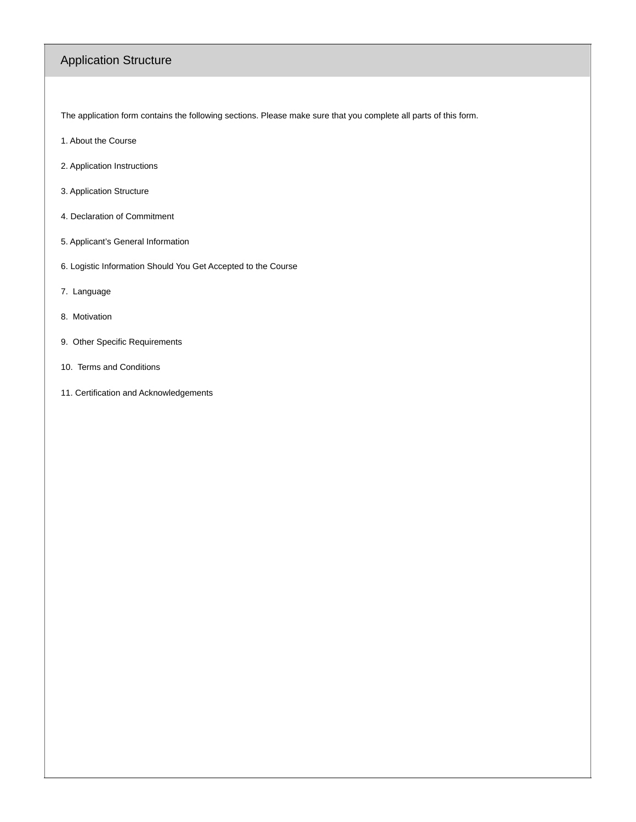# Application Structure

The application form contains the following sections. Please make sure that you complete all parts of this form.

- 1. About the Course
- 2. Application Instructions
- 3. Application Structure
- 4. Declaration of Commitment
- 5. Applicant's General Information
- 6. Logistic Information Should You Get Accepted to the Course
- 7. Language
- 8. Motivation
- 9. Other Specific Requirements
- 10. Terms and Conditions
- 11. Certification and Acknowledgements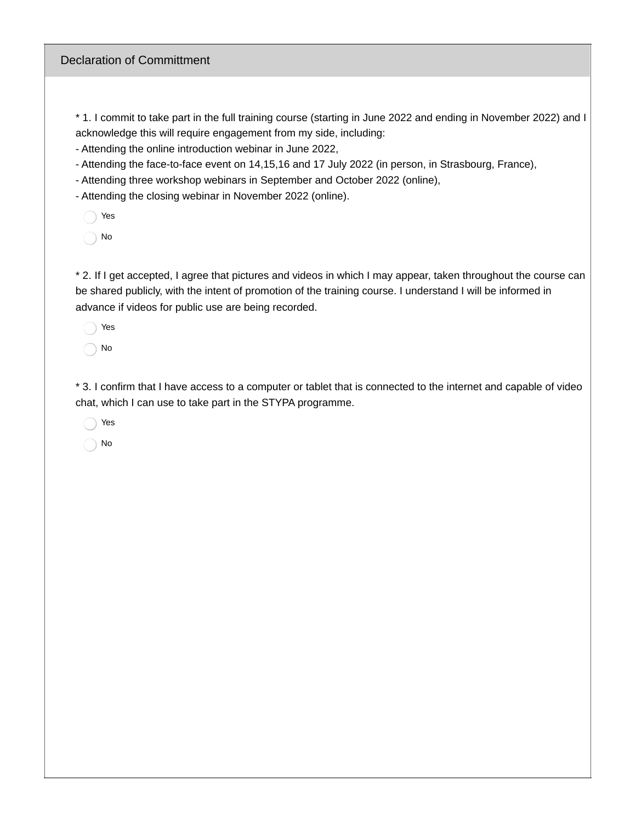### Declaration of Committment

\* 1. I commit to take part in the full training course (starting in June 2022 and ending in November 2022) and I acknowledge this will require engagement from my side, including:

- Attending the online introduction webinar in June 2022,

- Attending the face-to-face event on 14,15,16 and 17 July 2022 (in person, in Strasbourg, France),

- Attending three workshop webinars in September and October 2022 (online),

- Attending the closing webinar in November 2022 (online).

Yes

No

\* 2. If I get accepted, I agree that pictures and videos in which I may appear, taken throughout the course can be shared publicly, with the intent of promotion of the training course. I understand I will be informed in advance if videos for public use are being recorded.

Yes No

\* 3. I confirm that I have access to a computer or tablet that is connected to the internet and capable of video chat, which I can use to take part in the STYPA programme.

Yes

No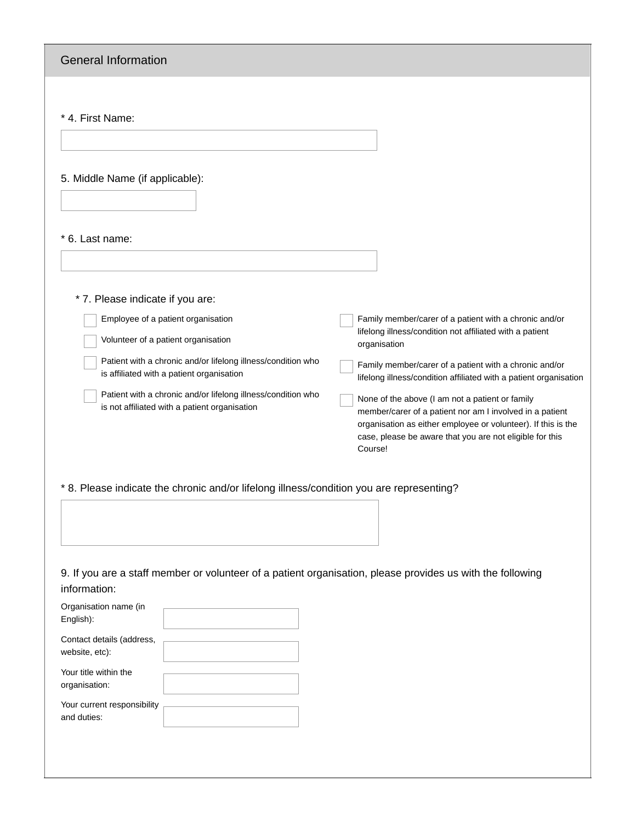| <b>General Information</b>                                                                                                                                                                                                                                                                                                                                                                                                                                                                                                                                                                                                                                                                                                                                                                                                                                              |  |  |
|-------------------------------------------------------------------------------------------------------------------------------------------------------------------------------------------------------------------------------------------------------------------------------------------------------------------------------------------------------------------------------------------------------------------------------------------------------------------------------------------------------------------------------------------------------------------------------------------------------------------------------------------------------------------------------------------------------------------------------------------------------------------------------------------------------------------------------------------------------------------------|--|--|
| * 4. First Name:                                                                                                                                                                                                                                                                                                                                                                                                                                                                                                                                                                                                                                                                                                                                                                                                                                                        |  |  |
| 5. Middle Name (if applicable):                                                                                                                                                                                                                                                                                                                                                                                                                                                                                                                                                                                                                                                                                                                                                                                                                                         |  |  |
| * 6. Last name:                                                                                                                                                                                                                                                                                                                                                                                                                                                                                                                                                                                                                                                                                                                                                                                                                                                         |  |  |
| * 7. Please indicate if you are:<br>Employee of a patient organisation<br>Family member/carer of a patient with a chronic and/or<br>lifelong illness/condition not affiliated with a patient<br>Volunteer of a patient organisation<br>organisation<br>Patient with a chronic and/or lifelong illness/condition who<br>Family member/carer of a patient with a chronic and/or<br>is affiliated with a patient organisation<br>lifelong illness/condition affiliated with a patient organisation<br>Patient with a chronic and/or lifelong illness/condition who<br>None of the above (I am not a patient or family<br>is not affiliated with a patient organisation<br>member/carer of a patient nor am I involved in a patient<br>organisation as either employee or volunteer). If this is the<br>case, please be aware that you are not eligible for this<br>Course! |  |  |
| * 8. Please indicate the chronic and/or lifelong illness/condition you are representing?                                                                                                                                                                                                                                                                                                                                                                                                                                                                                                                                                                                                                                                                                                                                                                                |  |  |
| 9. If you are a staff member or volunteer of a patient organisation, please provides us with the following<br>information:<br>Organisation name (in<br>English):<br>Contact details (address,                                                                                                                                                                                                                                                                                                                                                                                                                                                                                                                                                                                                                                                                           |  |  |
| website, etc):<br>Your title within the<br>organisation:<br>Your current responsibility                                                                                                                                                                                                                                                                                                                                                                                                                                                                                                                                                                                                                                                                                                                                                                                 |  |  |
| and duties:                                                                                                                                                                                                                                                                                                                                                                                                                                                                                                                                                                                                                                                                                                                                                                                                                                                             |  |  |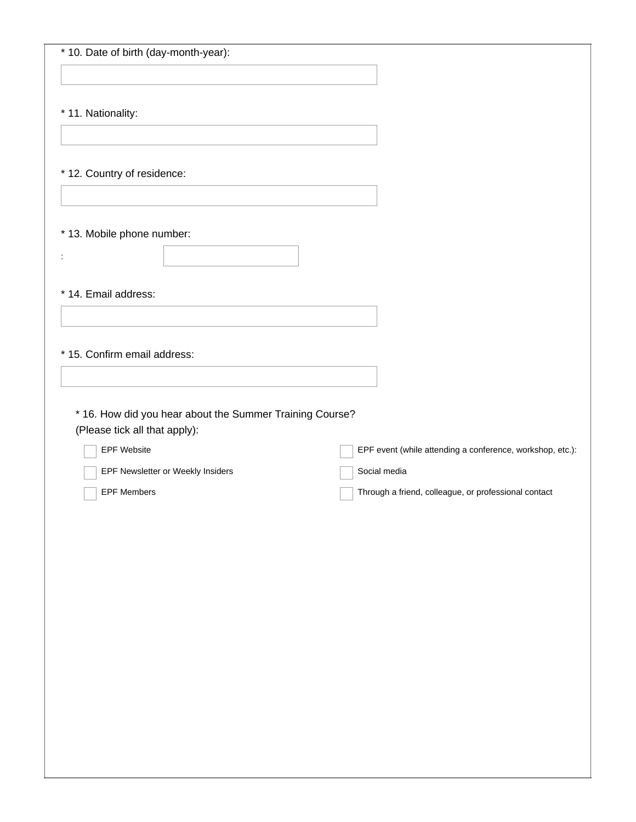| * 10. Date of birth (day-month-year): |  |
|---------------------------------------|--|
|---------------------------------------|--|

\* 11. Nationality:

\* 12. Country of residence:

\* 13. Mobile phone number:

\* 14. Email address:

:

| * 15. Confirm email address:                              |  |  |
|-----------------------------------------------------------|--|--|
|                                                           |  |  |
| * 16. How did you hear about the Summer Training Course?  |  |  |
| EPF event (while attending a conference, workshop, etc.): |  |  |
| Social media                                              |  |  |
| Through a friend, colleague, or professional contact      |  |  |
|                                                           |  |  |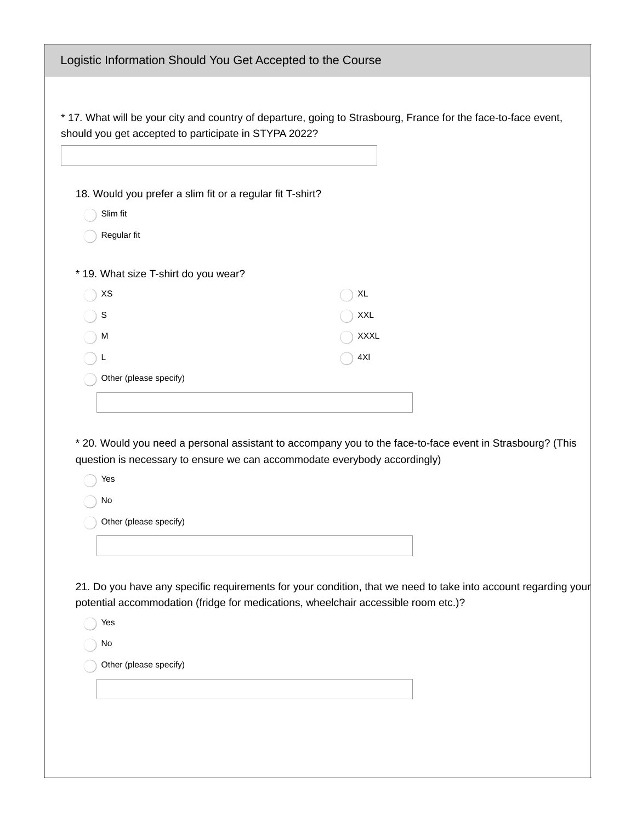| Logistic Information Should You Get Accepted to the Course                                                                                                                             |                                                                                                                |  |
|----------------------------------------------------------------------------------------------------------------------------------------------------------------------------------------|----------------------------------------------------------------------------------------------------------------|--|
|                                                                                                                                                                                        |                                                                                                                |  |
| * 17. What will be your city and country of departure, going to Strasbourg, France for the face-to-face event,<br>should you get accepted to participate in STYPA 2022?                |                                                                                                                |  |
|                                                                                                                                                                                        |                                                                                                                |  |
| 18. Would you prefer a slim fit or a regular fit T-shirt?                                                                                                                              |                                                                                                                |  |
| Slim fit                                                                                                                                                                               |                                                                                                                |  |
| Regular fit                                                                                                                                                                            |                                                                                                                |  |
| * 19. What size T-shirt do you wear?                                                                                                                                                   |                                                                                                                |  |
| XS                                                                                                                                                                                     | XL                                                                                                             |  |
| S                                                                                                                                                                                      | XXL                                                                                                            |  |
| M                                                                                                                                                                                      | <b>XXXL</b>                                                                                                    |  |
| L                                                                                                                                                                                      | 4XI                                                                                                            |  |
| Other (please specify)                                                                                                                                                                 |                                                                                                                |  |
|                                                                                                                                                                                        |                                                                                                                |  |
| * 20. Would you need a personal assistant to accompany you to the face-to-face event in Strasbourg? (This<br>question is necessary to ensure we can accommodate everybody accordingly) |                                                                                                                |  |
| Yes                                                                                                                                                                                    |                                                                                                                |  |
| No                                                                                                                                                                                     |                                                                                                                |  |
| Other (please specify)                                                                                                                                                                 |                                                                                                                |  |
|                                                                                                                                                                                        |                                                                                                                |  |
| potential accommodation (fridge for medications, wheelchair accessible room etc.)?                                                                                                     | 21. Do you have any specific requirements for your condition, that we need to take into account regarding your |  |
| Yes                                                                                                                                                                                    |                                                                                                                |  |
| No                                                                                                                                                                                     |                                                                                                                |  |
| Other (please specify)                                                                                                                                                                 |                                                                                                                |  |
|                                                                                                                                                                                        |                                                                                                                |  |
|                                                                                                                                                                                        |                                                                                                                |  |
|                                                                                                                                                                                        |                                                                                                                |  |
|                                                                                                                                                                                        |                                                                                                                |  |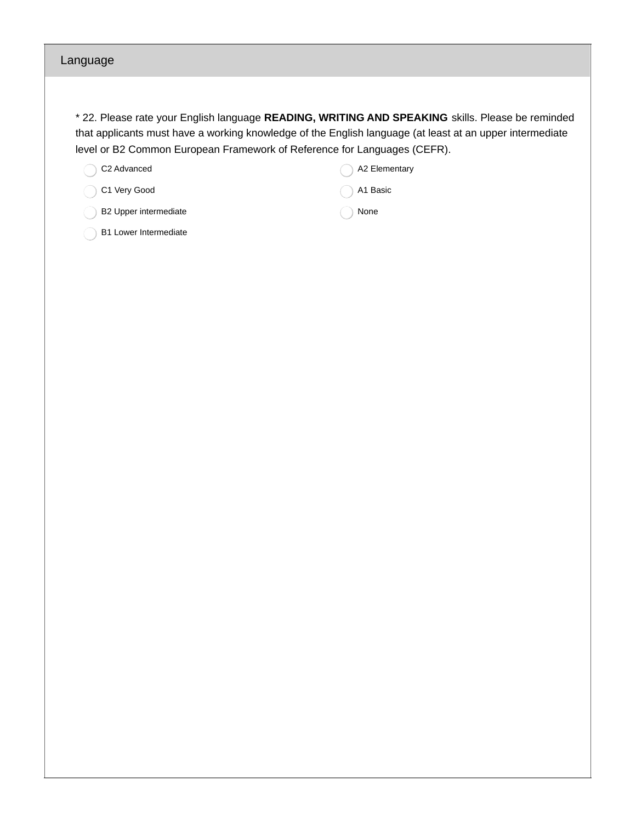### Language

\* 22. Please rate your English language **READING, WRITING AND SPEAKING** skills. Please be reminded that applicants must have a working knowledge of the English language (at least at an upper intermediate level or B2 Common European Framework of Reference for Languages (CEFR).

C2 Advanced

C1 Very Good

B2 Upper intermediate

| A1 Basic |
|----------|
| None     |

A2 Elementary

B1 Lower Intermediate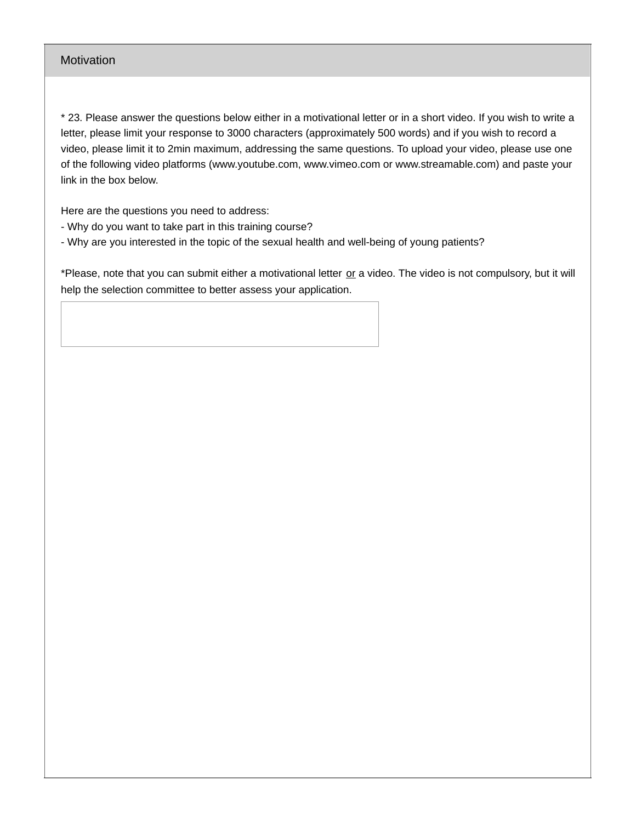### Motivation

\* 23. Please answer the questions below either in a motivational letter or in a short video. If you wish to write a letter, please limit your response to 3000 characters (approximately 500 words) and if you wish to record a video, please limit it to 2min maximum, addressing the same questions. To upload your video, please use one of the following video platforms (www.youtube.com, www.vimeo.com or www.streamable.com) and paste your link in the box below.

Here are the questions you need to address:

- Why do you want to take part in this training course?
- Why are you interested in the topic of the sexual health and well-being of young patients?

\*Please, note that you can submit either a motivational letter or a video. The video is not compulsory, but it will help the selection committee to better assess your application.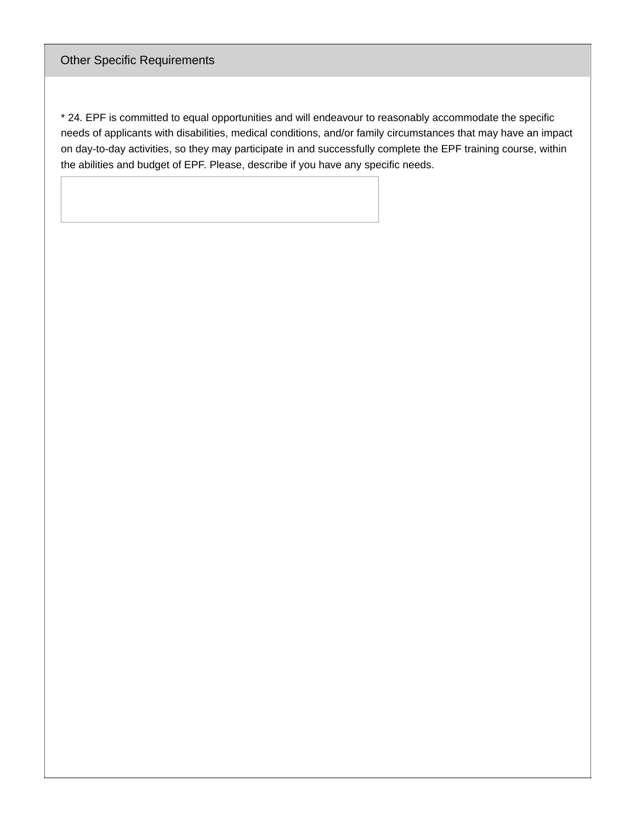## Other Specific Requirements

\* 24. EPF is committed to equal opportunities and will endeavour to reasonably accommodate the specific needs of applicants with disabilities, medical conditions, and/or family circumstances that may have an impact on day-to-day activities, so they may participate in and successfully complete the EPF training course, within the abilities and budget of EPF. Please, describe if you have any specific needs.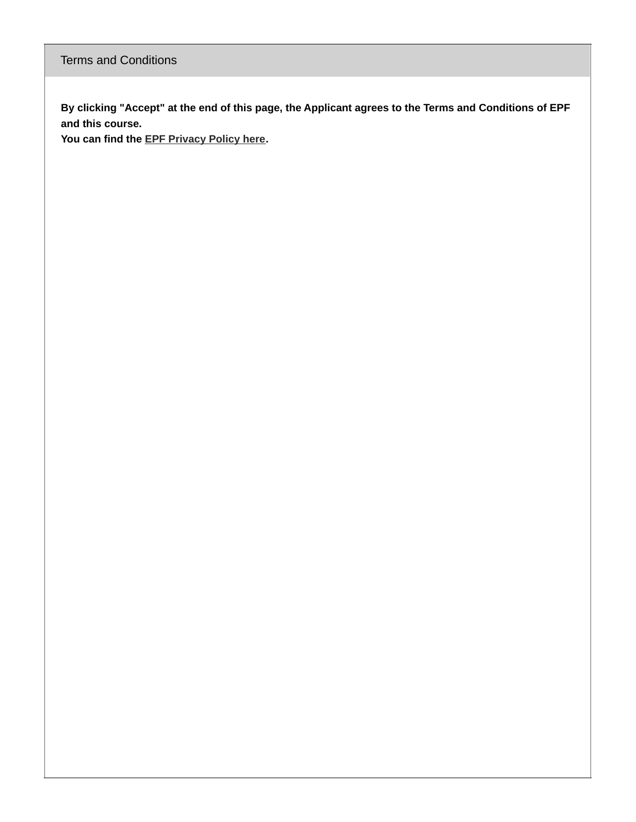By clicking "Accept" at the end of this page, the Applicant agrees to the Terms and Conditions of EPF **and this course.**

**You can find the EPF [Privacy](https://www.eu-patient.eu/about-epf/epf-privacy-policy/) Policy here.**